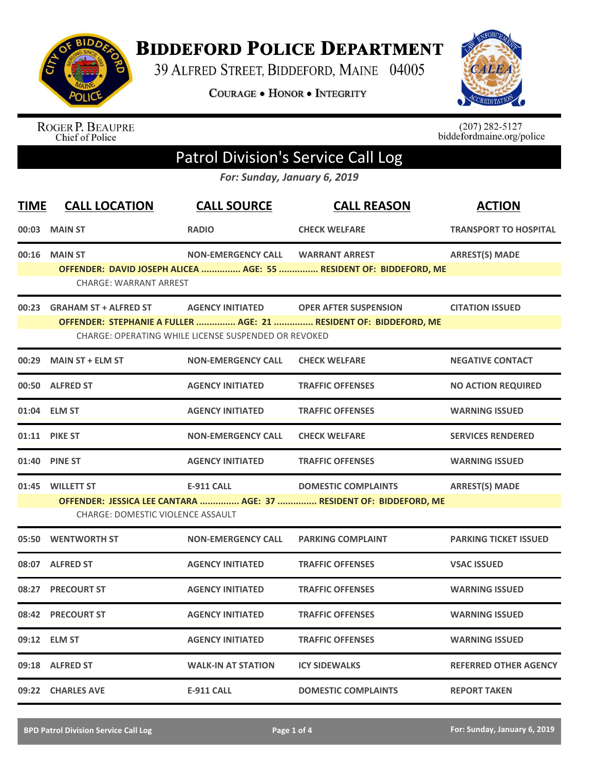

**BIDDEFORD POLICE DEPARTMENT** 

39 ALFRED STREET, BIDDEFORD, MAINE 04005

**COURAGE . HONOR . INTEGRITY** 



ROGER P. BEAUPRE<br>Chief of Police

 $(207)$  282-5127<br>biddefordmaine.org/police

## Patrol Division's Service Call Log

*For: Sunday, January 6, 2019*

| <b>TIME</b> | <b>CALL LOCATION</b>                                         | <b>CALL SOURCE</b>                                                              | <b>CALL REASON</b>                                                                                | <b>ACTION</b>                |
|-------------|--------------------------------------------------------------|---------------------------------------------------------------------------------|---------------------------------------------------------------------------------------------------|------------------------------|
| 00:03       | <b>MAIN ST</b>                                               | <b>RADIO</b>                                                                    | <b>CHECK WELFARE</b>                                                                              | <b>TRANSPORT TO HOSPITAL</b> |
| 00:16       | <b>MAIN ST</b><br><b>CHARGE: WARRANT ARREST</b>              | <b>NON-EMERGENCY CALL</b>                                                       | <b>WARRANT ARREST</b><br>OFFENDER: DAVID JOSEPH ALICEA  AGE: 55  RESIDENT OF: BIDDEFORD, ME       | <b>ARREST(S) MADE</b>        |
| 00:23       | <b>GRAHAM ST + ALFRED ST</b>                                 | <b>AGENCY INITIATED</b><br>CHARGE: OPERATING WHILE LICENSE SUSPENDED OR REVOKED | <b>OPER AFTER SUSPENSION</b><br>OFFENDER: STEPHANIE A FULLER  AGE: 21  RESIDENT OF: BIDDEFORD, ME | <b>CITATION ISSUED</b>       |
| 00:29       | <b>MAIN ST + ELM ST</b>                                      | <b>NON-EMERGENCY CALL</b>                                                       | <b>CHECK WELFARE</b>                                                                              | <b>NEGATIVE CONTACT</b>      |
| 00:50       | <b>ALFRED ST</b>                                             | <b>AGENCY INITIATED</b>                                                         | <b>TRAFFIC OFFENSES</b>                                                                           | <b>NO ACTION REQUIRED</b>    |
|             | 01:04 ELM ST                                                 | <b>AGENCY INITIATED</b>                                                         | <b>TRAFFIC OFFENSES</b>                                                                           | <b>WARNING ISSUED</b>        |
|             | 01:11 PIKE ST                                                | <b>NON-EMERGENCY CALL</b>                                                       | <b>CHECK WELFARE</b>                                                                              | <b>SERVICES RENDERED</b>     |
| 01:40       | <b>PINE ST</b>                                               | <b>AGENCY INITIATED</b>                                                         | <b>TRAFFIC OFFENSES</b>                                                                           | <b>WARNING ISSUED</b>        |
|             | 01:45 WILLETT ST<br><b>CHARGE: DOMESTIC VIOLENCE ASSAULT</b> | <b>E-911 CALL</b>                                                               | <b>DOMESTIC COMPLAINTS</b><br>OFFENDER: JESSICA LEE CANTARA  AGE: 37  RESIDENT OF: BIDDEFORD, ME  | <b>ARREST(S) MADE</b>        |
|             | 05:50 WENTWORTH ST                                           | <b>NON-EMERGENCY CALL</b>                                                       | <b>PARKING COMPLAINT</b>                                                                          | <b>PARKING TICKET ISSUED</b> |
|             | 08:07 ALFRED ST                                              | <b>AGENCY INITIATED</b>                                                         | <b>TRAFFIC OFFENSES</b>                                                                           | <b>VSAC ISSUED</b>           |
| 08:27       | <b>PRECOURT ST</b>                                           | <b>AGENCY INITIATED</b>                                                         | <b>TRAFFIC OFFENSES</b>                                                                           | <b>WARNING ISSUED</b>        |
| 08:42       | <b>PRECOURT ST</b>                                           | <b>AGENCY INITIATED</b>                                                         | <b>TRAFFIC OFFENSES</b>                                                                           | <b>WARNING ISSUED</b>        |
| 09:12       | <b>ELM ST</b>                                                | <b>AGENCY INITIATED</b>                                                         | <b>TRAFFIC OFFENSES</b>                                                                           | <b>WARNING ISSUED</b>        |
|             | 09:18 ALFRED ST                                              | <b>WALK-IN AT STATION</b>                                                       | <b>ICY SIDEWALKS</b>                                                                              | <b>REFERRED OTHER AGENCY</b> |
|             | 09:22 CHARLES AVE                                            | <b>E-911 CALL</b>                                                               | <b>DOMESTIC COMPLAINTS</b>                                                                        | <b>REPORT TAKEN</b>          |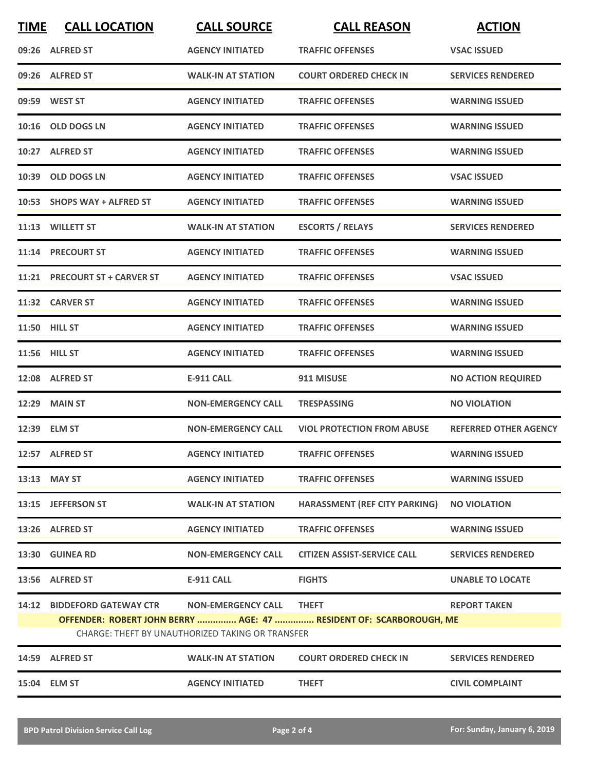| <b>TIME</b> | <b>CALL LOCATION</b>          | <b>CALL SOURCE</b>                               | <b>CALL REASON</b>                                                 | <b>ACTION</b>                |
|-------------|-------------------------------|--------------------------------------------------|--------------------------------------------------------------------|------------------------------|
|             | 09:26 ALFRED ST               | <b>AGENCY INITIATED</b>                          | <b>TRAFFIC OFFENSES</b>                                            | <b>VSAC ISSUED</b>           |
|             | 09:26 ALFRED ST               | <b>WALK-IN AT STATION</b>                        | <b>COURT ORDERED CHECK IN</b>                                      | <b>SERVICES RENDERED</b>     |
|             | 09:59 WEST ST                 | <b>AGENCY INITIATED</b>                          | <b>TRAFFIC OFFENSES</b>                                            | <b>WARNING ISSUED</b>        |
|             | 10:16 OLD DOGS LN             | <b>AGENCY INITIATED</b>                          | <b>TRAFFIC OFFENSES</b>                                            | <b>WARNING ISSUED</b>        |
|             | 10:27 ALFRED ST               | <b>AGENCY INITIATED</b>                          | <b>TRAFFIC OFFENSES</b>                                            | <b>WARNING ISSUED</b>        |
|             | 10:39 OLD DOGS LN             | <b>AGENCY INITIATED</b>                          | <b>TRAFFIC OFFENSES</b>                                            | <b>VSAC ISSUED</b>           |
|             | 10:53 SHOPS WAY + ALFRED ST   | <b>AGENCY INITIATED</b>                          | <b>TRAFFIC OFFENSES</b>                                            | <b>WARNING ISSUED</b>        |
|             | 11:13 WILLETT ST              | <b>WALK-IN AT STATION</b>                        | <b>ESCORTS / RELAYS</b>                                            | <b>SERVICES RENDERED</b>     |
| 11:14       | <b>PRECOURT ST</b>            | <b>AGENCY INITIATED</b>                          | <b>TRAFFIC OFFENSES</b>                                            | <b>WARNING ISSUED</b>        |
|             | 11:21 PRECOURT ST + CARVER ST | <b>AGENCY INITIATED</b>                          | <b>TRAFFIC OFFENSES</b>                                            | <b>VSAC ISSUED</b>           |
|             | 11:32 CARVER ST               | <b>AGENCY INITIATED</b>                          | <b>TRAFFIC OFFENSES</b>                                            | <b>WARNING ISSUED</b>        |
|             | 11:50 HILL ST                 | <b>AGENCY INITIATED</b>                          | <b>TRAFFIC OFFENSES</b>                                            | <b>WARNING ISSUED</b>        |
|             | 11:56 HILL ST                 | <b>AGENCY INITIATED</b>                          | <b>TRAFFIC OFFENSES</b>                                            | <b>WARNING ISSUED</b>        |
|             | 12:08 ALFRED ST               | <b>E-911 CALL</b>                                | 911 MISUSE                                                         | <b>NO ACTION REQUIRED</b>    |
| 12:29       | <b>MAIN ST</b>                | <b>NON-EMERGENCY CALL</b>                        | <b>TRESPASSING</b>                                                 | <b>NO VIOLATION</b>          |
|             | 12:39 ELM ST                  | <b>NON-EMERGENCY CALL</b>                        | <b>VIOL PROTECTION FROM ABUSE</b>                                  | <b>REFERRED OTHER AGENCY</b> |
|             | 12:57 ALFRED ST               | <b>AGENCY INITIATED</b>                          | <b>TRAFFIC OFFENSES</b>                                            | <b>WARNING ISSUED</b>        |
|             | 13:13 MAY ST                  | <b>AGENCY INITIATED</b>                          | <b>TRAFFIC OFFENSES</b>                                            | <b>WARNING ISSUED</b>        |
|             | 13:15 JEFFERSON ST            | <b>WALK-IN AT STATION</b>                        | <b>HARASSMENT (REF CITY PARKING)</b>                               | <b>NO VIOLATION</b>          |
|             | 13:26 ALFRED ST               | <b>AGENCY INITIATED</b>                          | <b>TRAFFIC OFFENSES</b>                                            | <b>WARNING ISSUED</b>        |
|             | 13:30 GUINEA RD               | <b>NON-EMERGENCY CALL</b>                        | CITIZEN ASSIST-SERVICE CALL                                        | <b>SERVICES RENDERED</b>     |
|             | 13:56 ALFRED ST               | <b>E-911 CALL</b>                                | <b>FIGHTS</b>                                                      | <b>UNABLE TO LOCATE</b>      |
|             | 14:12 BIDDEFORD GATEWAY CTR   | <b>NON-EMERGENCY CALL</b>                        | <b>THEFT</b>                                                       | <b>REPORT TAKEN</b>          |
|             |                               | CHARGE: THEFT BY UNAUTHORIZED TAKING OR TRANSFER | OFFENDER: ROBERT JOHN BERRY  AGE: 47  RESIDENT OF: SCARBOROUGH, ME |                              |
|             | 14:59 ALFRED ST               | <b>WALK-IN AT STATION</b>                        | <b>COURT ORDERED CHECK IN</b>                                      | <b>SERVICES RENDERED</b>     |
|             | 15:04 ELM ST                  | <b>AGENCY INITIATED</b>                          | <b>THEFT</b>                                                       | <b>CIVIL COMPLAINT</b>       |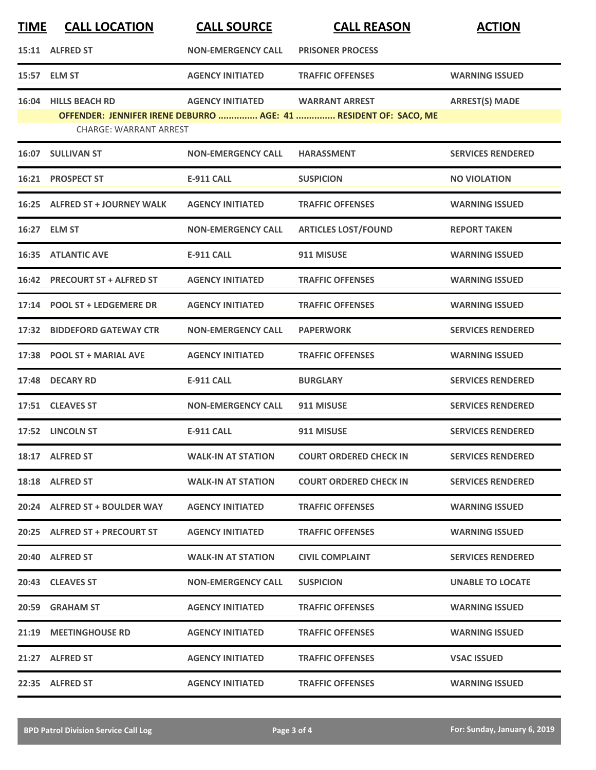| <b>TIME</b> | <b>CALL LOCATION</b>                                  | <b>CALL SOURCE</b>        | <b>CALL REASON</b>                                                                        | <b>ACTION</b>            |
|-------------|-------------------------------------------------------|---------------------------|-------------------------------------------------------------------------------------------|--------------------------|
|             | 15:11 ALFRED ST                                       | <b>NON-EMERGENCY CALL</b> | <b>PRISONER PROCESS</b>                                                                   |                          |
|             | 15:57 ELM ST                                          | <b>AGENCY INITIATED</b>   | <b>TRAFFIC OFFENSES</b>                                                                   | <b>WARNING ISSUED</b>    |
|             | 16:04 HILLS BEACH RD<br><b>CHARGE: WARRANT ARREST</b> | <b>AGENCY INITIATED</b>   | <b>WARRANT ARREST</b><br>OFFENDER: JENNIFER IRENE DEBURRO  AGE: 41  RESIDENT OF: SACO, ME | <b>ARREST(S) MADE</b>    |
|             | 16:07 SULLIVAN ST                                     | <b>NON-EMERGENCY CALL</b> | <b>HARASSMENT</b>                                                                         | <b>SERVICES RENDERED</b> |
|             | 16:21 PROSPECT ST                                     | <b>E-911 CALL</b>         | <b>SUSPICION</b>                                                                          | <b>NO VIOLATION</b>      |
|             | 16:25 ALFRED ST + JOURNEY WALK                        | <b>AGENCY INITIATED</b>   | <b>TRAFFIC OFFENSES</b>                                                                   | <b>WARNING ISSUED</b>    |
|             | 16:27 ELM ST                                          | <b>NON-EMERGENCY CALL</b> | <b>ARTICLES LOST/FOUND</b>                                                                | <b>REPORT TAKEN</b>      |
|             | <b>16:35 ATLANTIC AVE</b>                             | <b>E-911 CALL</b>         | 911 MISUSE                                                                                | <b>WARNING ISSUED</b>    |
|             | 16:42 PRECOURT ST + ALFRED ST                         | <b>AGENCY INITIATED</b>   | <b>TRAFFIC OFFENSES</b>                                                                   | <b>WARNING ISSUED</b>    |
|             | 17:14 POOL ST + LEDGEMERE DR                          | <b>AGENCY INITIATED</b>   | <b>TRAFFIC OFFENSES</b>                                                                   | <b>WARNING ISSUED</b>    |
| 17:32       | <b>BIDDEFORD GATEWAY CTR</b>                          | <b>NON-EMERGENCY CALL</b> | <b>PAPERWORK</b>                                                                          | <b>SERVICES RENDERED</b> |
| 17:38       | <b>POOL ST + MARIAL AVE</b>                           | <b>AGENCY INITIATED</b>   | <b>TRAFFIC OFFENSES</b>                                                                   | <b>WARNING ISSUED</b>    |
| 17:48       | <b>DECARY RD</b>                                      | <b>E-911 CALL</b>         | <b>BURGLARY</b>                                                                           | <b>SERVICES RENDERED</b> |
| 17:51       | <b>CLEAVES ST</b>                                     | <b>NON-EMERGENCY CALL</b> | 911 MISUSE                                                                                | <b>SERVICES RENDERED</b> |
|             | 17:52 LINCOLN ST                                      | <b>E-911 CALL</b>         | 911 MISUSE                                                                                | <b>SERVICES RENDERED</b> |
|             | 18:17 ALFRED ST                                       | <b>WALK-IN AT STATION</b> | <b>COURT ORDERED CHECK IN</b>                                                             | <b>SERVICES RENDERED</b> |
|             | 18:18 ALFRED ST                                       | <b>WALK-IN AT STATION</b> | <b>COURT ORDERED CHECK IN</b>                                                             | <b>SERVICES RENDERED</b> |
|             | 20:24 ALFRED ST + BOULDER WAY                         | <b>AGENCY INITIATED</b>   | <b>TRAFFIC OFFENSES</b>                                                                   | <b>WARNING ISSUED</b>    |
|             | 20:25 ALFRED ST + PRECOURT ST                         | <b>AGENCY INITIATED</b>   | <b>TRAFFIC OFFENSES</b>                                                                   | <b>WARNING ISSUED</b>    |
|             | 20:40 ALFRED ST                                       | <b>WALK-IN AT STATION</b> | <b>CIVIL COMPLAINT</b>                                                                    | <b>SERVICES RENDERED</b> |
|             | 20:43 CLEAVES ST                                      | <b>NON-EMERGENCY CALL</b> | <b>SUSPICION</b>                                                                          | <b>UNABLE TO LOCATE</b>  |
|             | 20:59 GRAHAM ST                                       | <b>AGENCY INITIATED</b>   | <b>TRAFFIC OFFENSES</b>                                                                   | <b>WARNING ISSUED</b>    |
|             | 21:19 MEETINGHOUSE RD                                 | <b>AGENCY INITIATED</b>   | <b>TRAFFIC OFFENSES</b>                                                                   | <b>WARNING ISSUED</b>    |
|             | 21:27 ALFRED ST                                       | <b>AGENCY INITIATED</b>   | <b>TRAFFIC OFFENSES</b>                                                                   | <b>VSAC ISSUED</b>       |
|             | 22:35 ALFRED ST                                       | <b>AGENCY INITIATED</b>   | <b>TRAFFIC OFFENSES</b>                                                                   | <b>WARNING ISSUED</b>    |